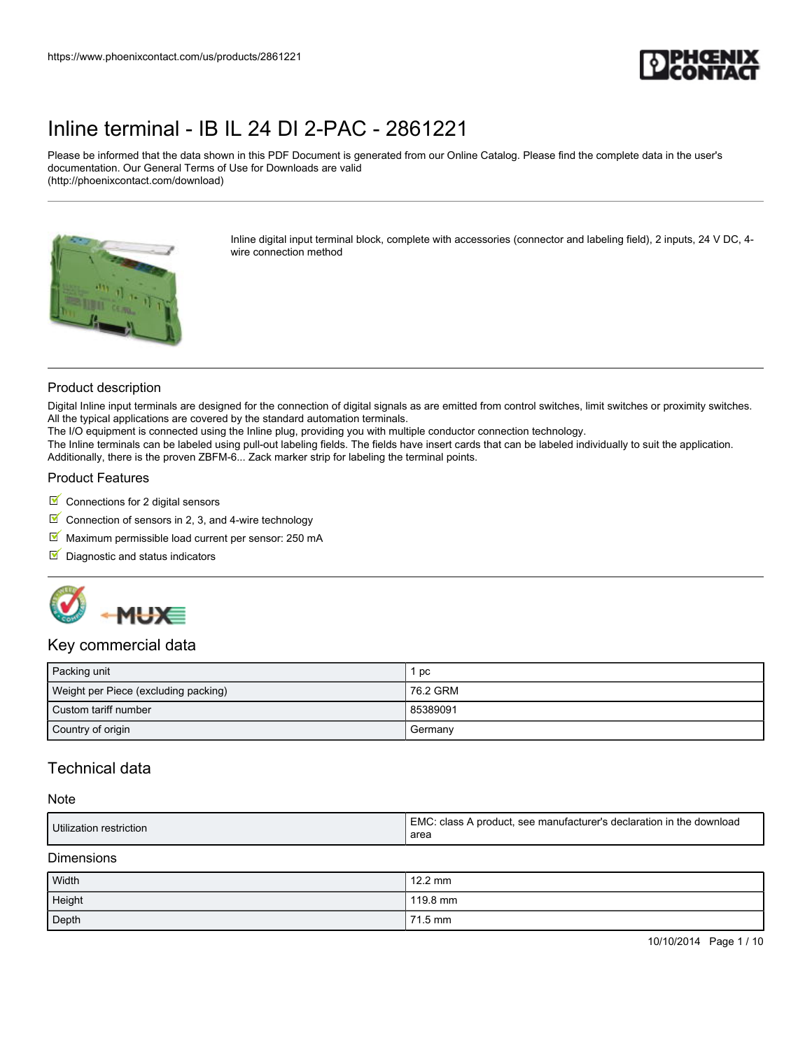

Please be informed that the data shown in this PDF Document is generated from our Online Catalog. Please find the complete data in the user's documentation. Our General Terms of Use for Downloads are valid (http://phoenixcontact.com/download)



Inline digital input terminal block, complete with accessories (connector and labeling field), 2 inputs, 24 V DC, 4 wire connection method

### Product description

Digital Inline input terminals are designed for the connection of digital signals as are emitted from control switches, limit switches or proximity switches. All the typical applications are covered by the standard automation terminals.

The I/O equipment is connected using the Inline plug, providing you with multiple conductor connection technology.

The Inline terminals can be labeled using pull-out labeling fields. The fields have insert cards that can be labeled individually to suit the application. Additionally, there is the proven ZBFM-6... Zack marker strip for labeling the terminal points.

### Product Features

- $\blacksquare$  Connections for 2 digital sensors
- Connection of sensors in 2, 3, and 4-wire technology
- $M$  Maximum permissible load current per sensor: 250 mA
- $\blacksquare$  Diagnostic and status indicators



### Key commercial data

| Packing unit                         | рc       |
|--------------------------------------|----------|
| Weight per Piece (excluding packing) | 76.2 GRM |
| Custom tariff number                 | 85389091 |
| Country of origin                    | Germany  |

## Technical data

#### **Note**

| Utilization restriction | EMC: class A product, see manufacturer's declaration in the download |
|-------------------------|----------------------------------------------------------------------|
|                         | area                                                                 |

#### **Dimensions**

| Width  | $12.2$ mm |
|--------|-----------|
| Height | 119.8 mm  |
| Depth  | 71.5 mm   |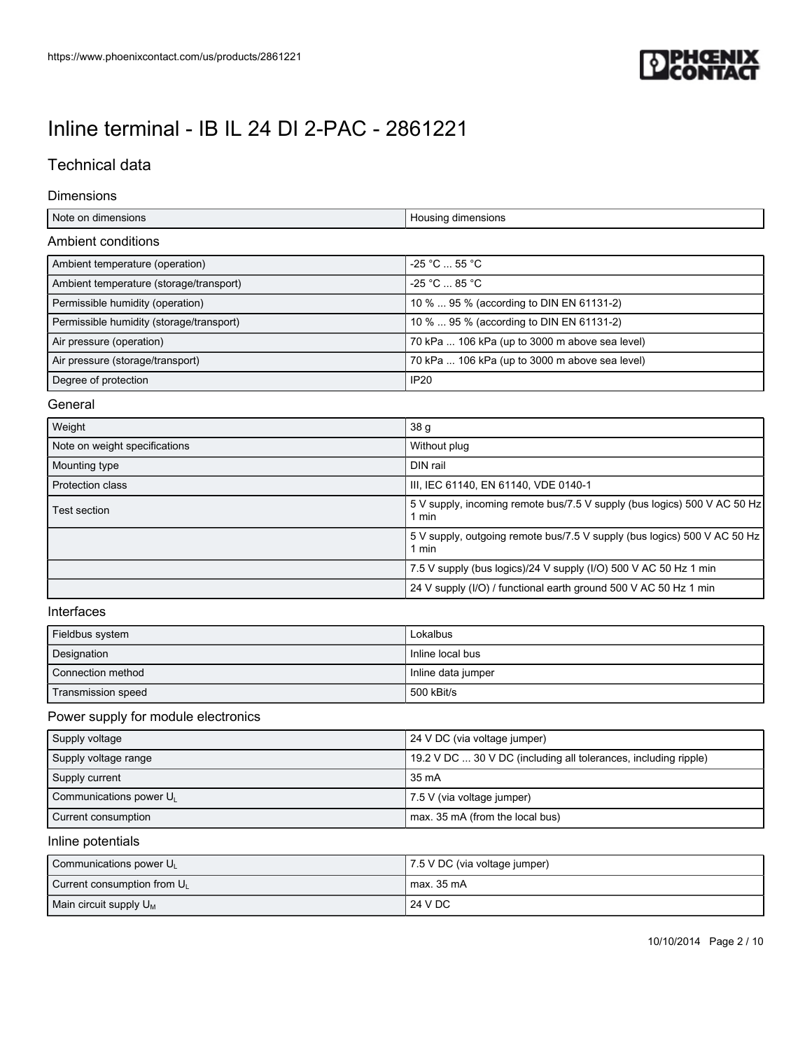

## Technical data

### Dimensions

| Note on dimensions                       | Housing dimensions                             |
|------------------------------------------|------------------------------------------------|
| Ambient conditions                       |                                                |
| Ambient temperature (operation)          | $-25$ °C $\ldots$ 55 °C                        |
| Ambient temperature (storage/transport)  | $-25 °C$ $- 85 °C$                             |
| Permissible humidity (operation)         | 10 %  95 % (according to DIN EN 61131-2)       |
| Permissible humidity (storage/transport) | 10 %  95 % (according to DIN EN 61131-2)       |
| Air pressure (operation)                 | 70 kPa  106 kPa (up to 3000 m above sea level) |
| Air pressure (storage/transport)         | 70 kPa  106 kPa (up to 3000 m above sea level) |
| Degree of protection                     | IP20                                           |

### General

| Weight                        | 38 <sub>q</sub>                                                                   |
|-------------------------------|-----------------------------------------------------------------------------------|
| Note on weight specifications | Without plug                                                                      |
| Mounting type                 | DIN rail                                                                          |
| <b>Protection class</b>       | III, IEC 61140, EN 61140, VDE 0140-1                                              |
| Test section                  | 5 V supply, incoming remote bus/7.5 V supply (bus logics) 500 V AC 50 Hz<br>l min |
|                               | 5 V supply, outgoing remote bus/7.5 V supply (bus logics) 500 V AC 50 Hz<br>min   |
|                               | 7.5 V supply (bus logics)/24 V supply (I/O) 500 V AC 50 Hz 1 min                  |
|                               | 24 V supply (I/O) / functional earth ground 500 V AC 50 Hz 1 min                  |

### Interfaces

| Fieldbus system    | Lokalbus           |
|--------------------|--------------------|
| Designation        | Inline local bus   |
| Connection method  | Inline data jumper |
| Transmission speed | 500 kBit/s         |

## Power supply for module electronics

| Supply voltage                      | 24 V DC (via voltage jumper)                                    |
|-------------------------------------|-----------------------------------------------------------------|
| Supply voltage range                | 19.2 V DC  30 V DC (including all tolerances, including ripple) |
| Supply current                      | 35 mA                                                           |
| Communications power U <sub>1</sub> | 7.5 V (via voltage jumper)                                      |
| Current consumption                 | max. 35 mA (from the local bus)                                 |

### Inline potentials

| Communications power U         | 7.5 V DC (via voltage jumper) |
|--------------------------------|-------------------------------|
| Current consumption from $U_L$ | max. 35 mA                    |
| Main circuit supply $U_M$      | 24 V DC                       |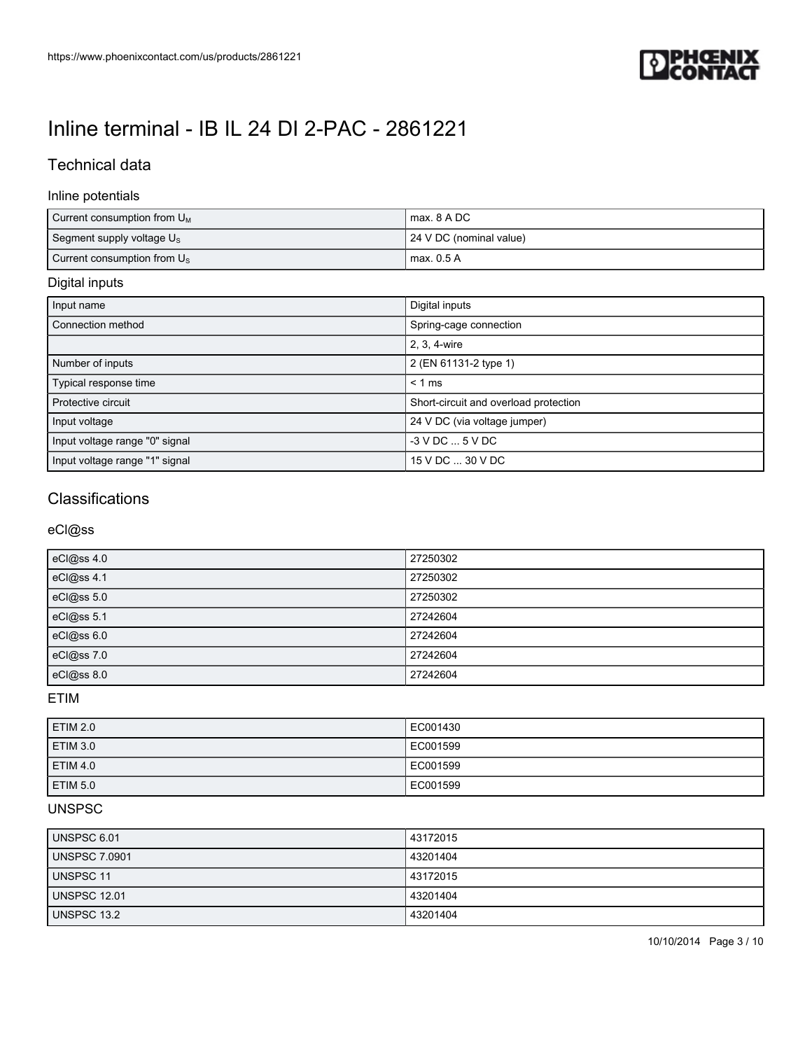

## Technical data

### Inline potentials

| Current consumption from $U_M$        | max, 8 A DC             |
|---------------------------------------|-------------------------|
| Segment supply voltage U <sub>s</sub> | 24 V DC (nominal value) |
| Current consumption from $U_{\rm S}$  | max. 0.5 A              |

## Digital inputs

| Input name                     | Digital inputs                        |
|--------------------------------|---------------------------------------|
| Connection method              | Spring-cage connection                |
|                                | 2, 3, 4-wire                          |
| Number of inputs               | 2 (EN 61131-2 type 1)                 |
| Typical response time          | $< 1$ ms                              |
| Protective circuit             | Short-circuit and overload protection |
| Input voltage                  | 24 V DC (via voltage jumper)          |
| Input voltage range "0" signal | $-3$ V DC $$ 5 V DC                   |
| Input voltage range "1" signal | 15 V DC  30 V DC                      |

## **Classifications**

eCl@ss

| eCl@ss 4.0   | 27250302 |
|--------------|----------|
| eCl@ss 4.1   | 27250302 |
| eCl@ss 5.0   | 27250302 |
| eCl@ss 5.1   | 27242604 |
| eCl@ss 6.0   | 27242604 |
| eCl@ss $7.0$ | 27242604 |
| eCl@ss 8.0   | 27242604 |

ETIM

| <b>ETIM 2.0</b> | EC001430 |
|-----------------|----------|
| <b>ETIM 3.0</b> | EC001599 |
| <b>ETIM 4.0</b> | EC001599 |
| <b>ETIM 5.0</b> | EC001599 |

### UNSPSC

| UNSPSC 6.01         | 43172015 |
|---------------------|----------|
| UNSPSC 7.0901       | 43201404 |
| UNSPSC 11           | 43172015 |
| <b>UNSPSC 12.01</b> | 43201404 |
| UNSPSC 13.2         | 43201404 |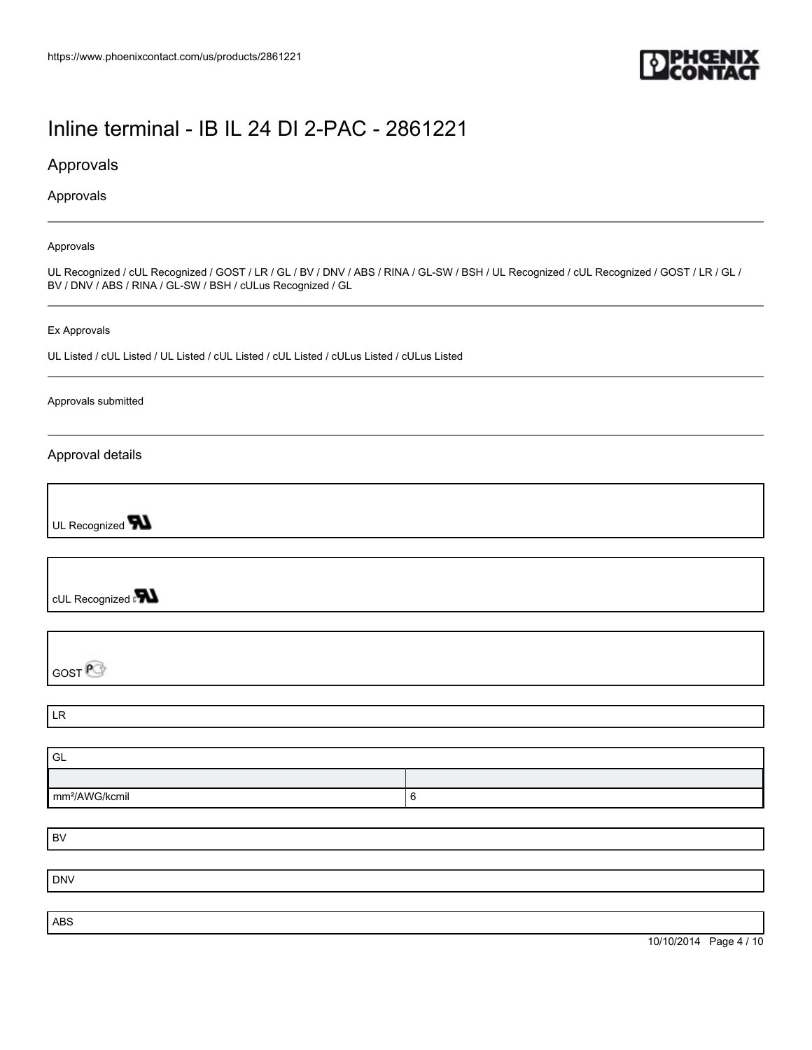

## Approvals

Approvals

#### Approvals

UL Recognized / cUL Recognized / GOST / LR / GL / BV / DNV / ABS / RINA / GL-SW / BSH / UL Recognized / cUL Recognized / GOST / LR / GL / BV / DNV / ABS / RINA / GL-SW / BSH / cULus Recognized / GL

#### Ex Approvals

UL Listed / cUL Listed / UL Listed / cUL Listed / cUL Listed / cULus Listed / cULus Listed

#### Approvals submitted

### Approval details

UL Recognized **TN** 

cUL Recognized and

**GOST**<sup>P</sup>

LR

| GL                         |  |
|----------------------------|--|
|                            |  |
| mm <sup>2</sup> /AWG/kcmil |  |

BV

DNV

ABS

10/10/2014 Page 4 / 10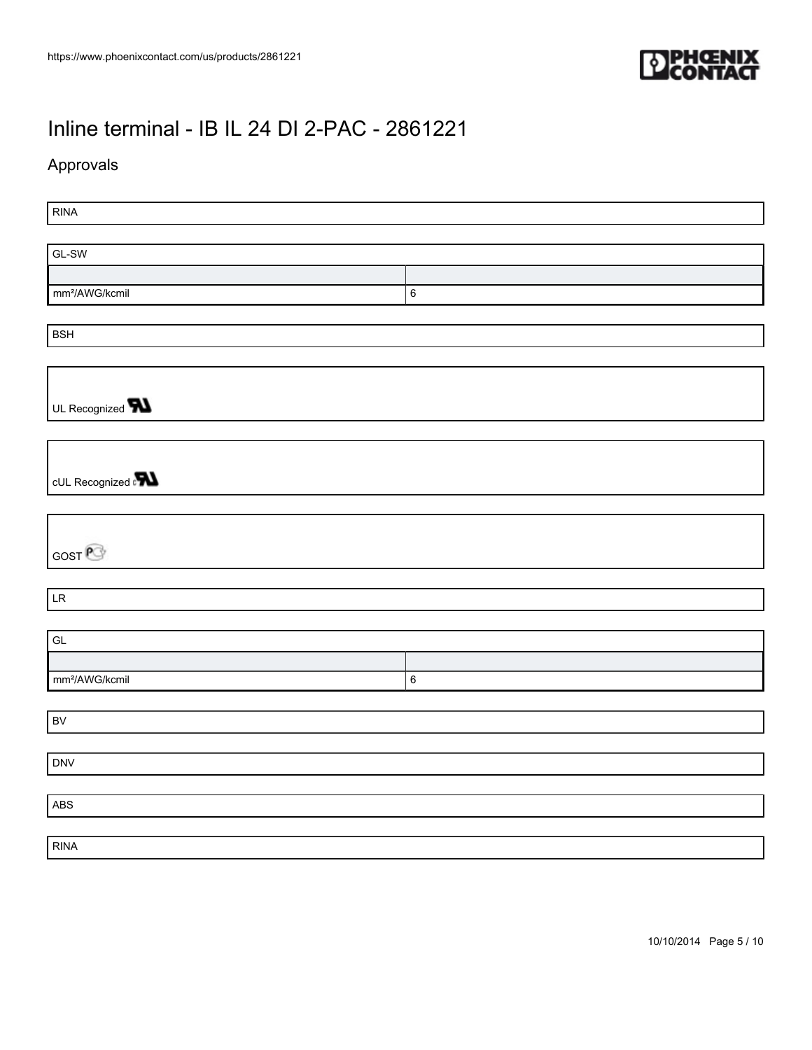

## Approvals

RINA GL-SW mm²/AWG/kcmil 6 BSH UL Recognized **W** cUL Recognized **PN** GOST<sup>P</sup> LR GL mm²/AWG/kcmil 6 BV DNV ABS RINA

10/10/2014 Page 5 / 10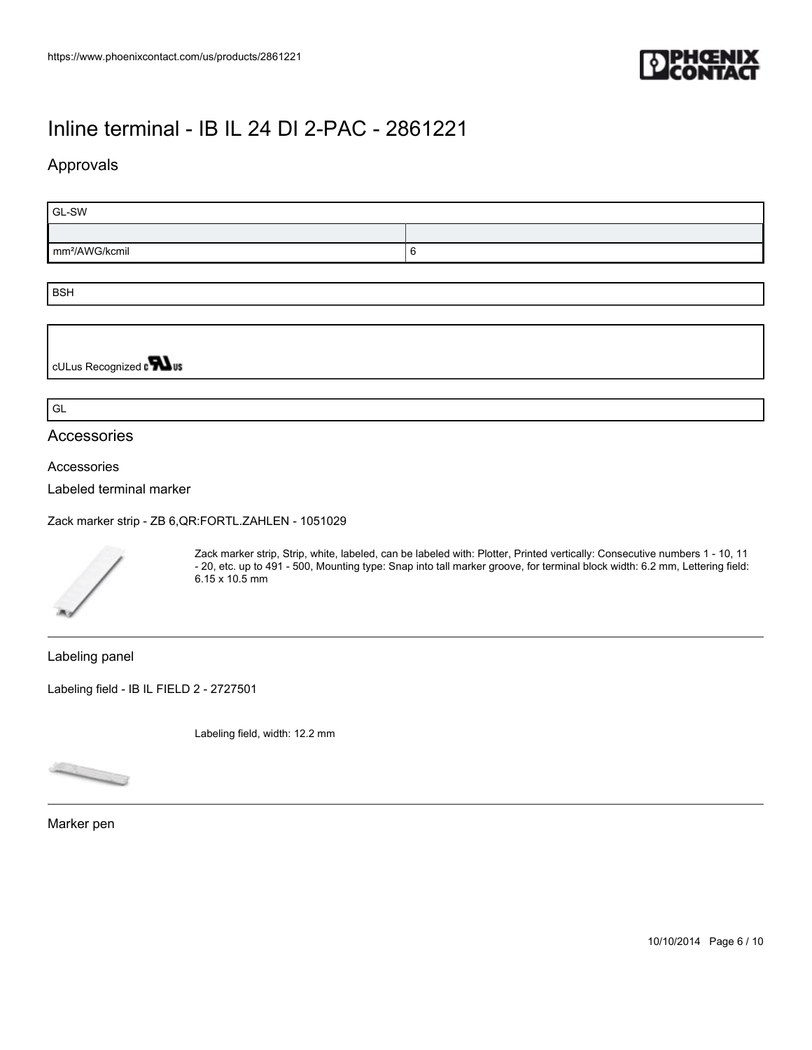

## Approvals

| $GL-SW$                    |   |  |
|----------------------------|---|--|
|                            |   |  |
| mm <sup>2</sup> /AWG/kcmil | u |  |
|                            |   |  |
| انتصدا                     |   |  |

BSH

cULus Recognized on **What** 

GL

### Accessories

Accessories

Labeled terminal marker

[Zack marker strip - ZB 6,QR:FORTL.ZAHLEN - 1051029](https://www.phoenixcontact.com/us/products/1051029)



Zack marker strip, Strip, white, labeled, can be labeled with: Plotter, Printed vertically: Consecutive numbers 1 - 10, 11 - 20, etc. up to 491 - 500, Mounting type: Snap into tall marker groove, for terminal block width: 6.2 mm, Lettering field: 6.15 x 10.5 mm

Labeling panel

[Labeling field - IB IL FIELD 2 - 2727501](https://www.phoenixcontact.com/us/products/2727501)

Labeling field, width: 12.2 mm



Marker pen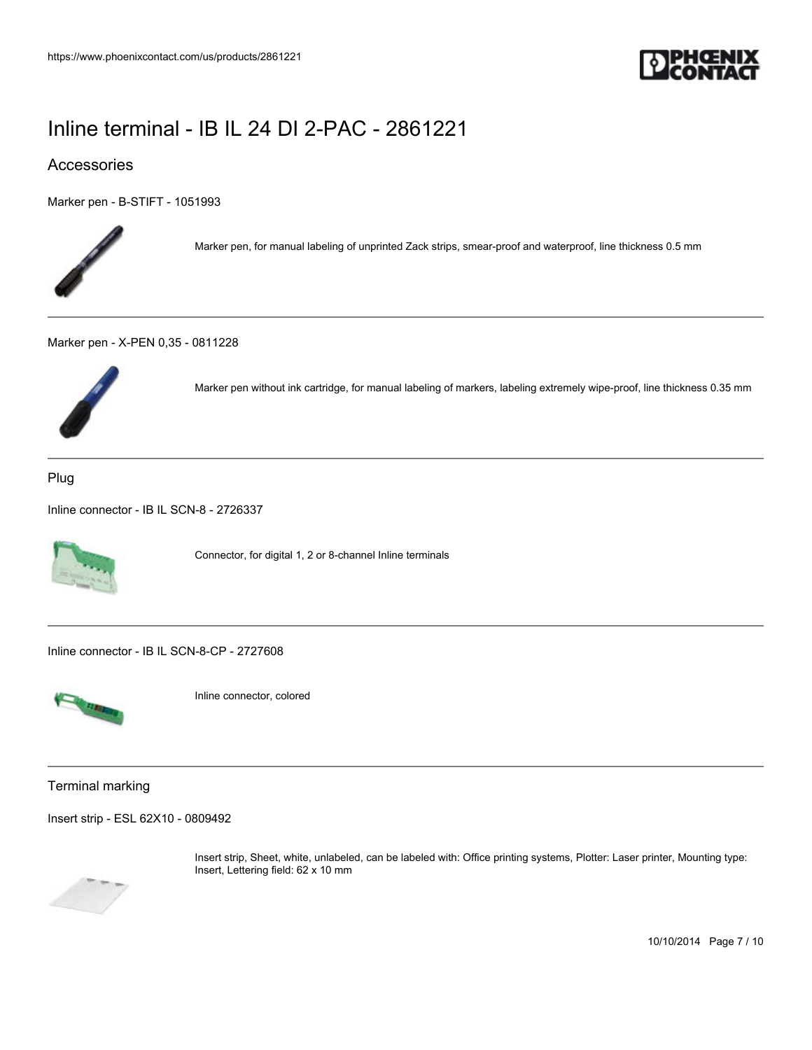

## Accessories

[Marker pen - B-STIFT - 1051993](https://www.phoenixcontact.com/us/products/1051993)



Marker pen, for manual labeling of unprinted Zack strips, smear-proof and waterproof, line thickness 0.5 mm

[Marker pen - X-PEN 0,35 - 0811228](https://www.phoenixcontact.com/us/products/0811228)



Marker pen without ink cartridge, for manual labeling of markers, labeling extremely wipe-proof, line thickness 0.35 mm

Plug

[Inline connector - IB IL SCN-8 - 2726337](https://www.phoenixcontact.com/us/products/2726337)



Connector, for digital 1, 2 or 8-channel Inline terminals

[Inline connector - IB IL SCN-8-CP - 2727608](https://www.phoenixcontact.com/us/products/2727608)



Inline connector, colored

Terminal marking

[Insert strip - ESL 62X10 - 0809492](https://www.phoenixcontact.com/us/products/0809492)



Insert strip, Sheet, white, unlabeled, can be labeled with: Office printing systems, Plotter: Laser printer, Mounting type: Insert, Lettering field: 62 x 10 mm

10/10/2014 Page 7 / 10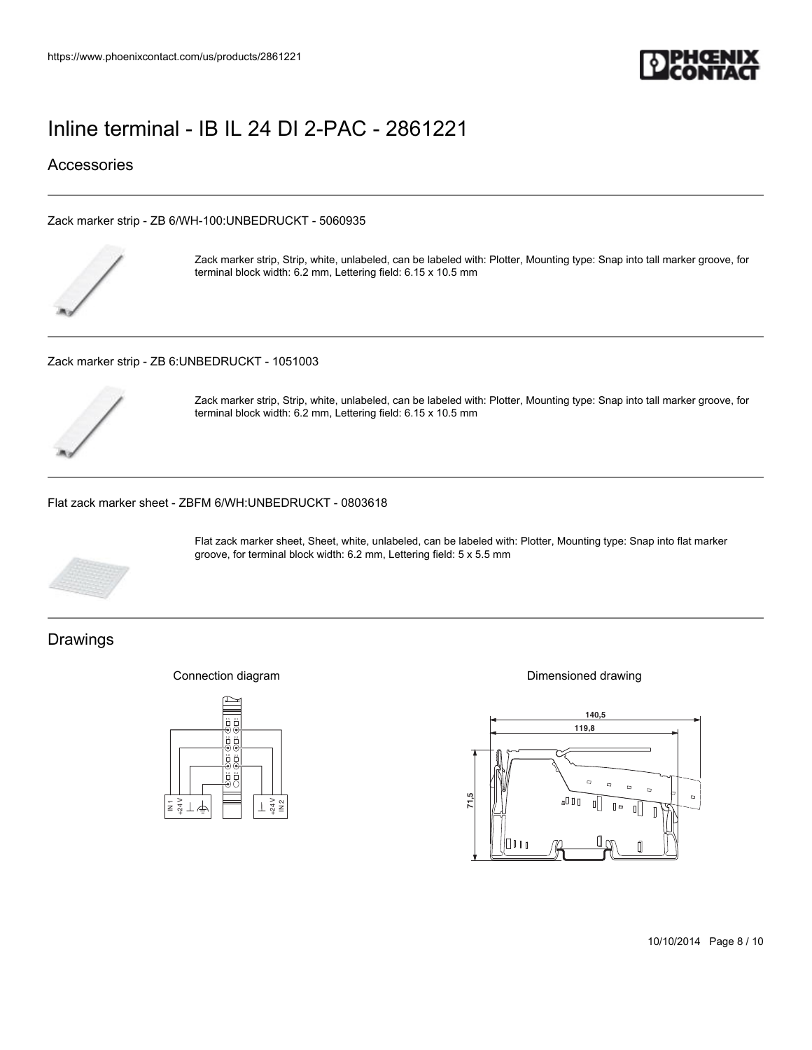

## Accessories

[Zack marker strip - ZB 6/WH-100:UNBEDRUCKT - 5060935](https://www.phoenixcontact.com/us/products/5060935)



Zack marker strip, Strip, white, unlabeled, can be labeled with: Plotter, Mounting type: Snap into tall marker groove, for terminal block width: 6.2 mm, Lettering field: 6.15 x 10.5 mm

[Zack marker strip - ZB 6:UNBEDRUCKT - 1051003](https://www.phoenixcontact.com/us/products/1051003)



Zack marker strip, Strip, white, unlabeled, can be labeled with: Plotter, Mounting type: Snap into tall marker groove, for terminal block width: 6.2 mm, Lettering field: 6.15 x 10.5 mm

[Flat zack marker sheet - ZBFM 6/WH:UNBEDRUCKT - 0803618](https://www.phoenixcontact.com/us/products/0803618)



Flat zack marker sheet, Sheet, white, unlabeled, can be labeled with: Plotter, Mounting type: Snap into flat marker groove, for terminal block width: 6.2 mm, Lettering field: 5 x 5.5 mm

## Drawings

Connection diagram



Dimensioned drawing



10/10/2014 Page 8 / 10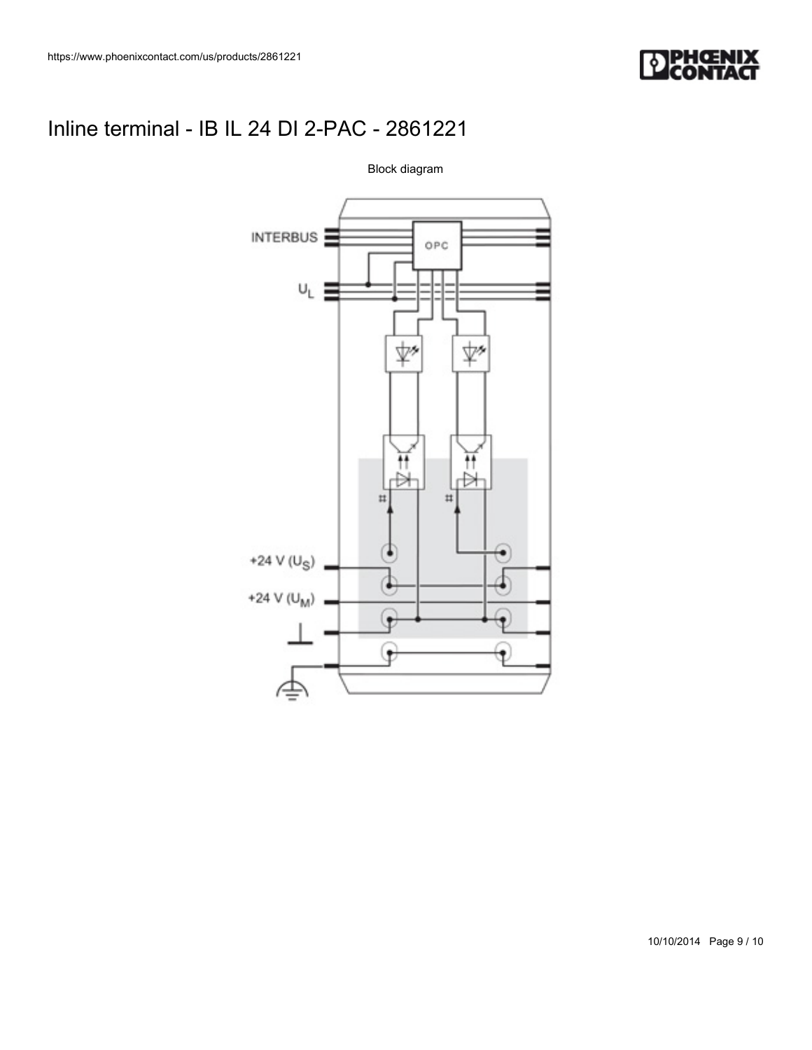



Block diagram